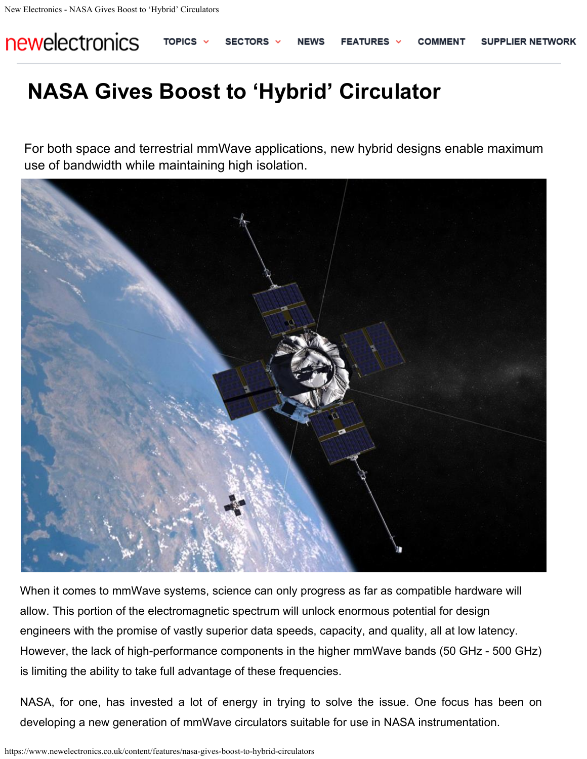newelectronics

## **NASA Gives Boost to 'Hybrid' Circulator**

For both space and terrestrial mmWave applications, new hybrid designs enable maximum use of bandwidth while maintaining high isolation.



When it comes to mmWave systems, science can only progress as far as compatible hardware will allow. This portion of the electromagnetic spectrum will unlock enormous potential for design engineers with the promise of vastly superior data speeds, capacity, and quality, all at low latency. However, the lack of high-performance components in the higher mmWave bands (50 GHz - 500 GHz) is limiting the ability to take full advantage of these frequencies.

NASA, for one, has invested a lot of energy in trying to solve the issue. One focus has been on developing a new generation of mmWave circulators suitable for use in NASA instrumentation.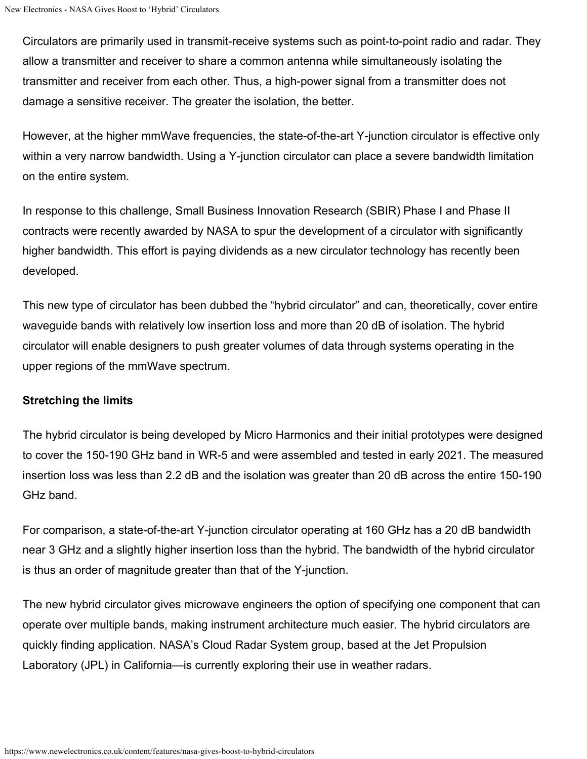Circulators are primarily used in transmit-receive systems such as point-to-point radio and radar. They allow a transmitter and receiver to share a common antenna while simultaneously isolating the transmitter and receiver from each other. Thus, a high-power signal from a transmitter does not damage a sensitive receiver. The greater the isolation, the better.

However, at the higher mmWave frequencies, the state-of-the-art Y-junction circulator is effective only within a very narrow bandwidth. Using a Y-junction circulator can place a severe bandwidth limitation on the entire system.

In response to this challenge, Small Business Innovation Research (SBIR) Phase I and Phase II contracts were recently awarded by NASA to spur the development of a circulator with significantly higher bandwidth. This effort is paying dividends as a new circulator technology has recently been developed.

This new type of circulator has been dubbed the "hybrid circulator" and can, theoretically, cover entire waveguide bands with relatively low insertion loss and more than 20 dB of isolation. The hybrid circulator will enable designers to push greater volumes of data through systems operating in the upper regions of the mmWave spectrum.

## **Stretching the limits**

The hybrid circulator is being developed by Micro Harmonics and their initial prototypes were designed to cover the 150-190 GHz band in WR-5 and were assembled and tested in early 2021. The measured insertion loss was less than 2.2 dB and the isolation was greater than 20 dB across the entire 150-190 GHz band.

For comparison, a state-of-the-art Y-junction circulator operating at 160 GHz has a 20 dB bandwidth near 3 GHz and a slightly higher insertion loss than the hybrid. The bandwidth of the hybrid circulator is thus an order of magnitude greater than that of the Y-junction.

The new hybrid circulator gives microwave engineers the option of specifying one component that can operate over multiple bands, making instrument architecture much easier. The hybrid circulators are quickly finding application. NASA's Cloud Radar System group, based at the Jet Propulsion Laboratory (JPL) in California—is currently exploring their use in weather radars.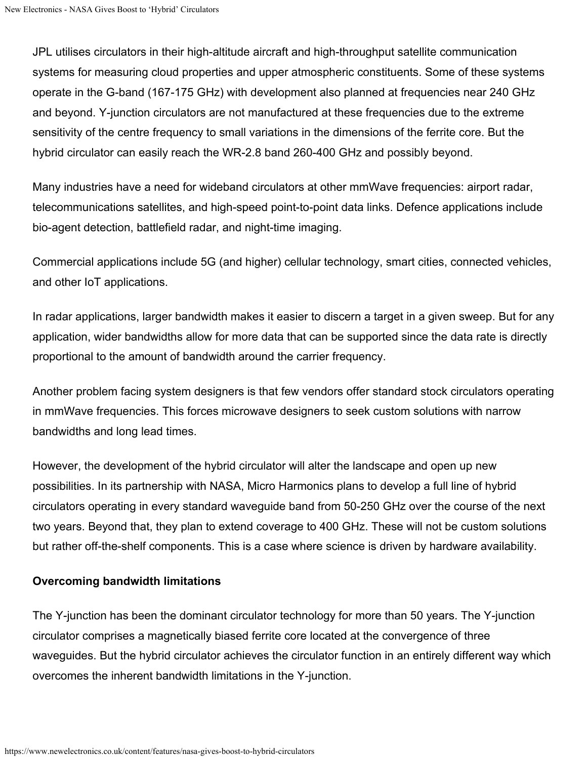JPL utilises circulators in their high-altitude aircraft and high-throughput satellite communication systems for measuring cloud properties and upper atmospheric constituents. Some of these systems operate in the G-band (167-175 GHz) with development also planned at frequencies near 240 GHz and beyond. Y-junction circulators are not manufactured at these frequencies due to the extreme sensitivity of the centre frequency to small variations in the dimensions of the ferrite core. But the hybrid circulator can easily reach the WR-2.8 band 260-400 GHz and possibly beyond.

Many industries have a need for wideband circulators at other mmWave frequencies: airport radar, telecommunications satellites, and high-speed point-to-point data links. Defence applications include bio-agent detection, battlefield radar, and night-time imaging.

Commercial applications include 5G (and higher) cellular technology, smart cities, connected vehicles, and other IoT applications.

In radar applications, larger bandwidth makes it easier to discern a target in a given sweep. But for any application, wider bandwidths allow for more data that can be supported since the data rate is directly proportional to the amount of bandwidth around the carrier frequency.

Another problem facing system designers is that few vendors offer standard stock circulators operating in mmWave frequencies. This forces microwave designers to seek custom solutions with narrow bandwidths and long lead times.

However, the development of the hybrid circulator will alter the landscape and open up new possibilities. In its partnership with NASA, Micro Harmonics plans to develop a full line of hybrid circulators operating in every standard waveguide band from 50-250 GHz over the course of the next two years. Beyond that, they plan to extend coverage to 400 GHz. These will not be custom solutions but rather off-the-shelf components. This is a case where science is driven by hardware availability.

## **Overcoming bandwidth limitations**

The Y-junction has been the dominant circulator technology for more than 50 years. The Y-junction circulator comprises a magnetically biased ferrite core located at the convergence of three waveguides. But the hybrid circulator achieves the circulator function in an entirely different way which overcomes the inherent bandwidth limitations in the Y-junction.